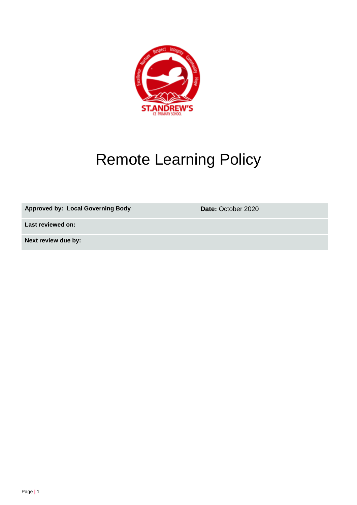

# Remote Learning Policy

Approved by: Local Governing Body **Date:** October 2020

**Last reviewed on:**

**Next review due by:**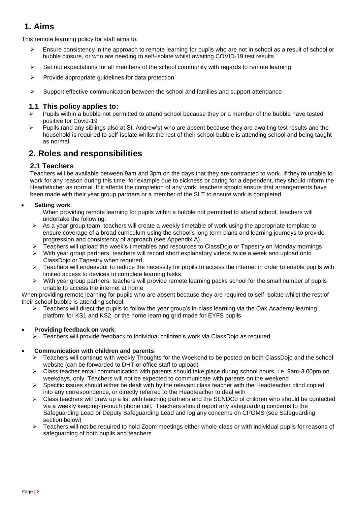# **1. Aims**

This remote learning policy for staff aims to:

- Ensure consistency in the approach to remote learning for pupils who are not in school as a result of school or bubble closure, or who are needing to self-isolate whilst awaiting COVID-19 test results
- $\triangleright$  Set out expectations for all members of the school community with regards to remote learning
- $\triangleright$  Provide appropriate guidelines for data protection
- $\triangleright$  Support effective communication between the school and families and support attendance

#### **1.1 This policy applies to:**

- Pupils within a bubble not permitted to attend school because they or a member of the bubble have tested positive for Covid-19
- $\triangleright$  Pupils (and any siblings also at St. Andrew's) who are absent because they are awaiting test results and the household is required to self-isolate whilst the rest of their school bubble is attending school and being taught as normal.

## **2. Roles and responsibilities**

#### **2.1 Teachers**

Teachers will be available between 9am and 3pm on the days that they are contracted to work. If they're unable to work for any reason during this time, for example due to sickness or caring for a dependent, they should inform the Headteacher as normal. If it affects the completion of any work, teachers should ensure that arrangements have been made with their year group partners or a member of the SLT to ensure work is completed.

#### **Setting work**:

When providing remote learning for pupils within a bubble not permitted to attend school, teachers will undertake the following:

- $\triangleright$  As a year group team, teachers will create a weekly timetable of work using the appropriate template to ensure coverage of a broad curriculum using the school's long term plans and learning journeys to provide progression and consistency of approach (see Appendix A)
- Teachers will upload the week's timetables and resources to ClassDojo or Tapestry on Monday mornings
- $\triangleright$  With year group partners, teachers will record short explanatory videos twice a week and upload onto ClassDojo or Tapestry when required
- $\triangleright$  Teachers will endeavour to reduce the necessity for pupils to access the internet in order to enable pupils with limited access to devices to complete learning tasks
- With year group partners, teachers will provide remote learning packs school for the small number of pupils unable to access the internet at home

When providing remote learning for pupils who are absent because they are required to self-isolate whilst the rest of their school bubble is attending school:

 $\triangleright$  Teachers will direct the pupils to follow the year group's in-class learning via the Oak Academy learning platform for KS1 and KS2, or the home learning grid made for EYFS pupils

#### **Providing feedback on work**:

 $\triangleright$  Teachers will provide feedback to individual children's work via ClassDojo as required

#### **Communication with children and parents**:

- ▶ Teachers will continue with weekly Thoughts for the Weekend to be posted on both ClassDojo and the school website (can be forwarded to DHT or office staff to upload)
- $\triangleright$  Class teacher email communication with parents should take place during school hours, i.e. 9am-3.00pm on weekdays, only. Teachers will not be expected to communicate with parents on the weekend
- $\triangleright$  Specific issues should either be dealt with by the relevant class teacher with the Headteacher blind copied into any correspondence, or directly referred to the Headteacher to deal with
- $\triangleright$  Class teachers will draw up a list with teaching partners and the SENDCo of children who should be contacted via a weekly keeping-in-touch phone call. Teachers should report any safeguarding concerns to the Safeguarding Lead or Deputy Safeguarding Lead and log any concerns on CPOMS (see Safeguarding section below)
- Teachers will not be required to hold Zoom meetings either whole-class or with individual pupils for reasons of safeguarding of both pupils and teachers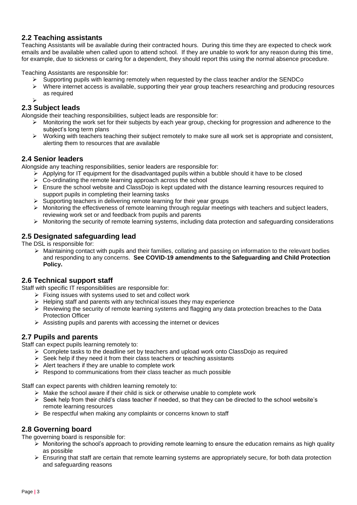#### **2.2 Teaching assistants**

Teaching Assistants will be available during their contracted hours. During this time they are expected to check work emails and be available when called upon to attend school. If they are unable to work for any reason during this time, for example, due to sickness or caring for a dependent, they should report this using the normal absence procedure.

Teaching Assistants are responsible for:

- Supporting pupils with learning remotely when requested by the class teacher and/or the SENDCo
- $\triangleright$  Where internet access is available, supporting their year group teachers researching and producing resources as required
- ➤

#### **2.3 Subject leads**

Alongside their teaching responsibilities, subject leads are responsible for:

- $\triangleright$  Monitoring the work set for their subjects by each year group, checking for progression and adherence to the subject's long term plans
- $\triangleright$  Working with teachers teaching their subject remotely to make sure all work set is appropriate and consistent, alerting them to resources that are available

#### **2.4 Senior leaders**

Alongside any teaching responsibilities, senior leaders are responsible for:

- $\triangleright$  Applying for IT equipment for the disadvantaged pupils within a bubble should it have to be closed
- $\triangleright$  Co-ordinating the remote learning approach across the school
- Ensure the school website and ClassDojo is kept updated with the distance learning resources required to support pupils in completing their learning tasks
- $\triangleright$  Supporting teachers in delivering remote learning for their year groups
- $\triangleright$  Monitoring the effectiveness of remote learning through regular meetings with teachers and subject leaders, reviewing work set or and feedback from pupils and parents
- $\triangleright$  Monitoring the security of remote learning systems, including data protection and safeguarding considerations

#### **2.5 Designated safeguarding lead**

The DSL is responsible for:

 $\triangleright$  Maintaining contact with pupils and their families, collating and passing on information to the relevant bodies and responding to any concerns. **See COVID-19 amendments to the Safeguarding and Child Protection Policy.**

#### **2.6 Technical support staff**

Staff with specific IT responsibilities are responsible for:

- $\triangleright$  Fixing issues with systems used to set and collect work
- $\triangleright$  Helping staff and parents with any technical issues they may experience
- $\triangleright$  Reviewing the security of remote learning systems and flagging any data protection breaches to the Data Protection Officer
- $\triangleright$  Assisting pupils and parents with accessing the internet or devices

#### **2.7 Pupils and parents**

Staff can expect pupils learning remotely to:

- $\triangleright$  Complete tasks to the deadline set by teachers and upload work onto ClassDojo as required
- $\triangleright$  Seek help if they need it from their class teachers or teaching assistants
- $\triangleright$  Alert teachers if they are unable to complete work
- $\triangleright$  Respond to communications from their class teacher as much possible

Staff can expect parents with children learning remotely to:

- $\triangleright$  Make the school aware if their child is sick or otherwise unable to complete work
- $\triangleright$  Seek help from their child's class teacher if needed, so that they can be directed to the school website's remote learning resources
- $\triangleright$  Be respectful when making any complaints or concerns known to staff

#### **2.8 Governing board**

The governing board is responsible for:

- $\triangleright$  Monitoring the school's approach to providing remote learning to ensure the education remains as high quality as possible
- $\triangleright$  Ensuring that staff are certain that remote learning systems are appropriately secure, for both data protection and safeguarding reasons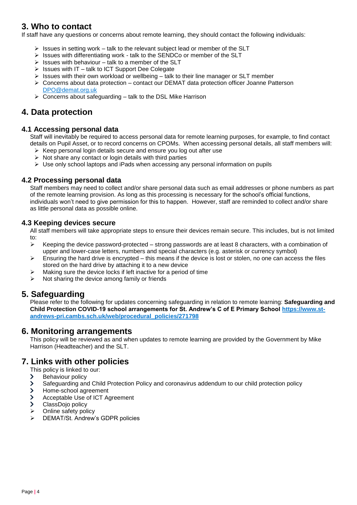# **3. Who to contact**

If staff have any questions or concerns about remote learning, they should contact the following individuals:

- $\triangleright$  Issues in setting work talk to the relevant subject lead or member of the SLT
- $\triangleright$  Issues with differentiating work talk to the SENDCo or member of the SLT
- $\triangleright$  Issues with behaviour talk to a member of the SLT
- $\triangleright$  Issues with IT talk to ICT Support Dee Colegate
- $\triangleright$  Issues with their own workload or wellbeing talk to their line manager or SLT member
- $\triangleright$  Concerns about data protection contact our DEMAT data protection officer Joanne Patterson [DPO@demat.org.uk](mailto:DPO@demat.org.uk)
- $\triangleright$  Concerns about safeguarding talk to the DSL Mike Harrison

## **4. Data protection**

#### **4.1 Accessing personal data**

Staff will inevitably be required to access personal data for remote learning purposes, for example, to find contact details on Pupil Asset, or to record concerns on CPOMs. When accessing personal details, all staff members will:

- $\triangleright$  Keep personal login details secure and ensure you log out after use
- $\triangleright$  Not share any contact or login details with third parties
- $\triangleright$  Use only school laptops and iPads when accessing any personal information on pupils

#### **4.2 Processing personal data**

Staff members may need to collect and/or share personal data such as email addresses or phone numbers as part of the remote learning provision. As long as this processing is necessary for the school's official functions, individuals won't need to give permission for this to happen. However, staff are reminded to collect and/or share as little personal data as possible online.

#### **4.3 Keeping devices secure**

All staff members will take appropriate steps to ensure their devices remain secure. This includes, but is not limited to:

- $\triangleright$  Keeping the device password-protected strong passwords are at least 8 characters, with a combination of upper and lower-case letters, numbers and special characters (e.g. asterisk or currency symbol)
- $\triangleright$  Ensuring the hard drive is encrypted this means if the device is lost or stolen, no one can access the files stored on the hard drive by attaching it to a new device
- $\triangleright$  Making sure the device locks if left inactive for a period of time
- $\triangleright$  Not sharing the device among family or friends

## **5. Safeguarding**

Please refer to the following for updates concerning safeguarding in relation to remote learning: **Safeguarding and Child Protection COVID-19 school arrangements for St. Andrew's C of E Primary School [https://www.st](https://www.st-andrews-pri.cambs.sch.uk/web/procedural_policies/271798)[andrews-pri.cambs.sch.uk/web/procedural\\_policies/271798](https://www.st-andrews-pri.cambs.sch.uk/web/procedural_policies/271798)**

## **6. Monitoring arrangements**

This policy will be reviewed as and when updates to remote learning are provided by the Government by Mike Harrison (Headteacher) and the SLT.

## **7. Links with other policies**

This policy is linked to our:

- Behaviour policy  $\blacktriangleright$
- Safeguarding and Child Protection Policy and coronavirus addendum to our child protection policy  $\overline{\phantom{0}}$
- $\overline{\phantom{1}}$ Home-school agreement
- $\overline{\phantom{1}}$ Acceptable Use of ICT Agreement
- $\overline{\phantom{0}}$ ClassDojo policy
- $\triangleright$  Online safety policy
- DEMAT/St. Andrew's GDPR policies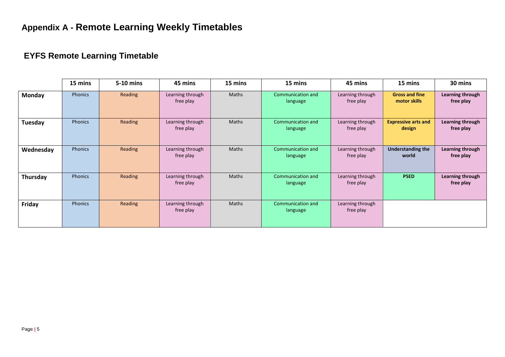# **EYFS Remote Learning Timetable**

|               | 15 mins        | 5-10 mins | 45 mins                       | 15 mins      | 15 mins                       | 45 mins                       | 15 mins                               | 30 mins                       |
|---------------|----------------|-----------|-------------------------------|--------------|-------------------------------|-------------------------------|---------------------------------------|-------------------------------|
| <b>Monday</b> | Phonics        | Reading   | Learning through<br>free play | Maths        | Communication and<br>language | Learning through<br>free play | <b>Gross and fine</b><br>motor skills | Learning through<br>free play |
| Tuesday       | Phonics        | Reading   | Learning through<br>free play | <b>Maths</b> | Communication and<br>language | Learning through<br>free play | <b>Expressive arts and</b><br>design  | Learning through<br>free play |
| Wednesday     | Phonics        | Reading   | Learning through<br>free play | Maths        | Communication and<br>language | Learning through<br>free play | <b>Understanding the</b><br>world     | Learning through<br>free play |
| Thursday      | Phonics        | Reading   | Learning through<br>free play | Maths        | Communication and<br>language | Learning through<br>free play | <b>PSED</b>                           | Learning through<br>free play |
| Friday        | <b>Phonics</b> | Reading   | Learning through<br>free play | <b>Maths</b> | Communication and<br>language | Learning through<br>free play |                                       |                               |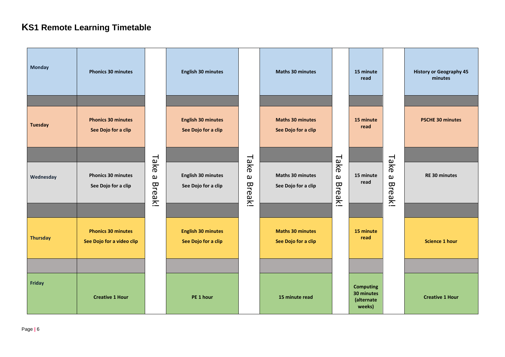# **KS1 Remote Learning Timetable**